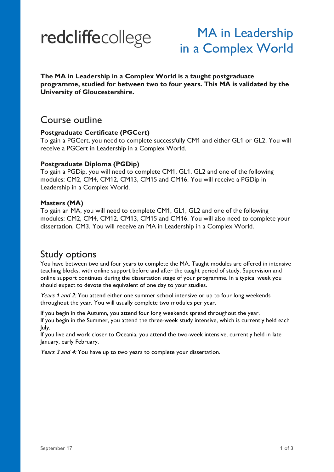# redcliffecollege

# MA in Leadership in a Complex World

**The MA in Leadership in a Complex World is a taught postgraduate programme, studied for between two to four years. This MA is validated by the University of Gloucestershire.**

### Course outline

#### **Postgraduate Certificate (PGCert)**

To gain a PGCert, you need to complete successfully CM1 and either GL1 or GL2. You will receive a PGCert in Leadership in a Complex World.

#### **Postgraduate Diploma (PGDip)**

To gain a PGDip, you will need to complete CM1, GL1, GL2 and one of the following modules: CM2, CM4, CM12, CM13, CM15 and CM16. You will receive a PGDip in Leadership in a Complex World.

#### **Masters (MA)**

To gain an MA, you will need to complete CM1, GL1, GL2 and one of the following modules: CM2, CM4, CM12, CM13, CM15 and CM16. You will also need to complete your dissertation, CM3. You will receive an MA in Leadership in a Complex World.

# Study options

You have between two and four years to complete the MA. Taught modules are offered in intensive teaching blocks, with online support before and after the taught period of study. Supervision and online support continues during the dissertation stage of your programme. In a typical week you should expect to devote the equivalent of one day to your studies.

Years 1 and 2: You attend either one summer school intensive or up to four long weekends throughout the year. You will usually complete two modules per year.

If you begin in the Autumn, you attend four long weekends spread throughout the year. If you begin in the Summer, you attend the three-week study intensive, which is currently held each July.

If you live and work closer to Oceania, you attend the two-week intensive, currently held in late January, early February.

Years 3 and 4: You have up to two years to complete your dissertation.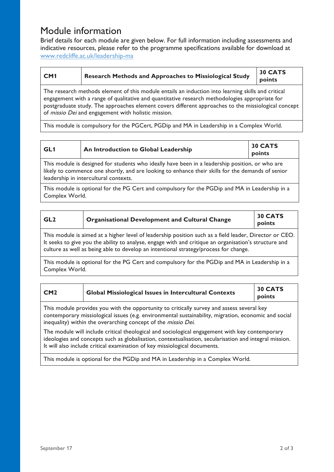## Module information

Brief details for each module are given below. For full information including assessments and indicative resources, please refer to the programme specifications available for download at www.redcliffe.ac.uk/leadership-ma

| CM <sub>1</sub> | Research Methods and Approaches to Missiological Study | $\frac{1}{30}$ CATS |
|-----------------|--------------------------------------------------------|---------------------|
|                 |                                                        | points              |

The research methods element of this module entails an induction into learning skills and critical engagement with a range of qualitative and quantitative research methodologies appropriate for postgraduate study. The approaches element covers different approaches to the missiological concept of missio Dei and engagement with holistic mission.

This module is compulsory for the PGCert, PGDip and MA in Leadership in a Complex World.

| GL1 | An Introduction to Global Leadership | 30 CATS |
|-----|--------------------------------------|---------|
|     |                                      | points  |

This module is designed for students who ideally have been in a leadership position, or who are likely to commence one shortly, and are looking to enhance their skills for the demands of senior leadership in intercultural contexts.

This module is optional for the PG Cert and compulsory for the PGDip and MA in Leadership in a Complex World.

| GL <sub>2</sub> | <b>Organisational Development and Cultural Change</b>                                                 | 30 CATS<br>points |
|-----------------|-------------------------------------------------------------------------------------------------------|-------------------|
|                 | This module is simply to a bigher level of leadership position such as a field leader. Dimense on CEO |                   |

This module is aimed at a higher level of leadership position such as a field leader, Director or CEO. It seeks to give you the ability to analyse, engage with and critique an organisation's structure and culture as well as being able to develop an intentional strategy/process for change.

This module is optional for the PG Cert and compulsory for the PGDip and MA in Leadership in a Complex World.

| CM2                                                                                                                                                                                                                                                                | <b>Global Missiological Issues in Intercultural Contexts</b> | 30 CATS<br>points |
|--------------------------------------------------------------------------------------------------------------------------------------------------------------------------------------------------------------------------------------------------------------------|--------------------------------------------------------------|-------------------|
| This module provides you with the opportunity to critically survey and assess several key<br>contemporary missiological issues (e.g. environmental sustainability, migration, economic and social<br>inequality) within the overarching concept of the missio Dei. |                                                              |                   |
| The module will include critical theological and sociological engagement with key contemporary<br>ideologies and concepts such as globalisation, contextualisation, secularisation and integral mission.                                                           |                                                              |                   |

This module is optional for the PGDip and MA in Leadership in a Complex World.

It will also include critical examination of key missiological documents.